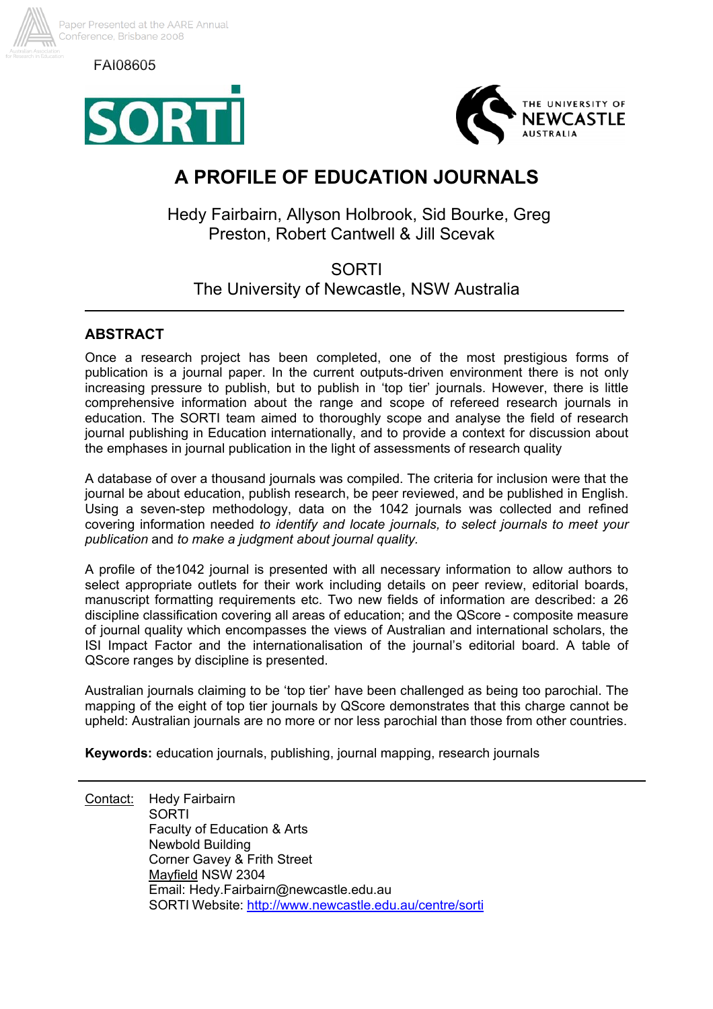

FAI08605





# **A PROFILE OF EDUCATION JOURNALS**

Hedy Fairbairn, Allyson Holbrook, Sid Bourke, Greg Preston, Robert Cantwell & Jill Scevak

## SORTI The University of Newcastle, NSW Australia

## **ABSTRACT**

Once a research project has been completed, one of the most prestigious forms of publication is a journal paper. In the current outputs-driven environment there is not only increasing pressure to publish, but to publish in 'top tier' journals. However, there is little comprehensive information about the range and scope of refereed research journals in education. The SORTI team aimed to thoroughly scope and analyse the field of research journal publishing in Education internationally, and to provide a context for discussion about the emphases in journal publication in the light of assessments of research quality

A database of over a thousand journals was compiled. The criteria for inclusion were that the journal be about education, publish research, be peer reviewed, and be published in English. Using a seven-step methodology, data on the 1042 journals was collected and refined covering information needed *to identify and locate journals, to select journals to meet your publication* and *to make a judgment about journal quality.* 

A profile of the1042 journal is presented with all necessary information to allow authors to select appropriate outlets for their work including details on peer review, editorial boards, manuscript formatting requirements etc. Two new fields of information are described: a 26 discipline classification covering all areas of education; and the QScore - composite measure of journal quality which encompasses the views of Australian and international scholars, the ISI Impact Factor and the internationalisation of the journal's editorial board. A table of QScore ranges by discipline is presented.

Australian journals claiming to be 'top tier' have been challenged as being too parochial. The mapping of the eight of top tier journals by QScore demonstrates that this charge cannot be upheld: Australian journals are no more or nor less parochial than those from other countries.

**Keywords:** education journals, publishing, journal mapping, research journals

Contact: Hedy Fairbairn SORTI Faculty of Education & Arts Newbold Building Corner Gavey & Frith Street Mayfield NSW 2304 Email: Hedy.Fairbairn@newcastle.edu.au SORTI Website: http://www.newcastle.edu.au/centre/sorti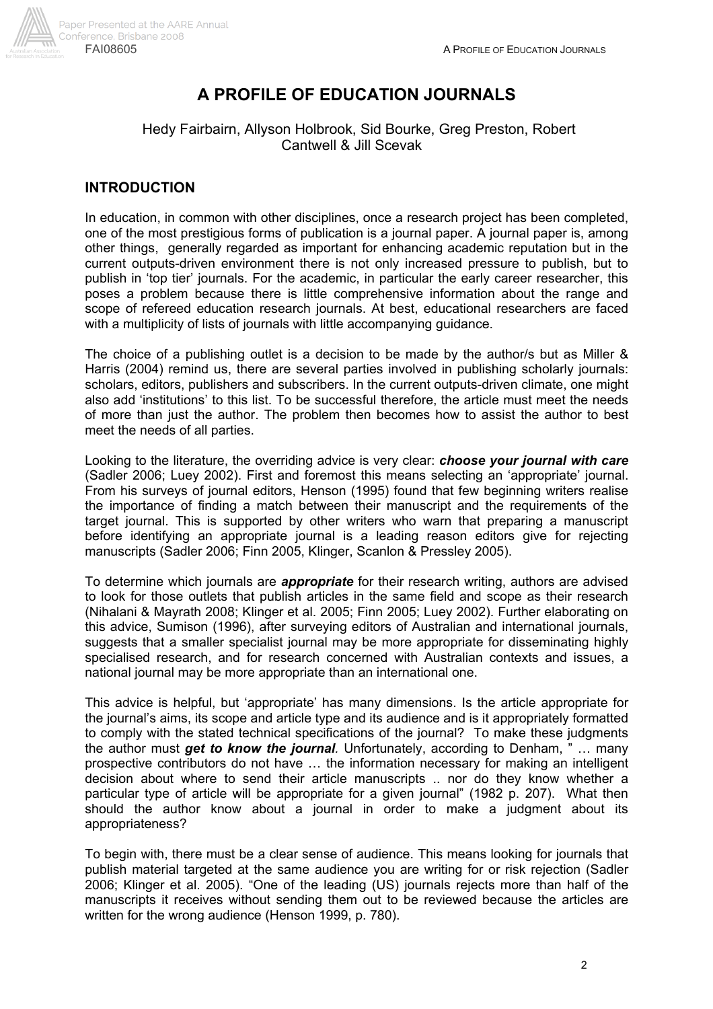

## **A PROFILE OF EDUCATION JOURNALS**

## Hedy Fairbairn, Allyson Holbrook, Sid Bourke, Greg Preston, Robert Cantwell & Jill Scevak

## **INTRODUCTION**

In education, in common with other disciplines, once a research project has been completed, one of the most prestigious forms of publication is a journal paper. A journal paper is, among other things, generally regarded as important for enhancing academic reputation but in the current outputs-driven environment there is not only increased pressure to publish, but to publish in 'top tier' journals. For the academic, in particular the early career researcher, this poses a problem because there is little comprehensive information about the range and scope of refereed education research journals. At best, educational researchers are faced with a multiplicity of lists of journals with little accompanying guidance.

The choice of a publishing outlet is a decision to be made by the author/s but as Miller & Harris (2004) remind us, there are several parties involved in publishing scholarly journals: scholars, editors, publishers and subscribers. In the current outputs-driven climate, one might also add 'institutions' to this list. To be successful therefore, the article must meet the needs of more than just the author. The problem then becomes how to assist the author to best meet the needs of all parties.

Looking to the literature, the overriding advice is very clear: *choose your journal with care* (Sadler 2006; Luey 2002). First and foremost this means selecting an 'appropriate' journal. From his surveys of journal editors, Henson (1995) found that few beginning writers realise the importance of finding a match between their manuscript and the requirements of the target journal. This is supported by other writers who warn that preparing a manuscript before identifying an appropriate journal is a leading reason editors give for rejecting manuscripts (Sadler 2006; Finn 2005, Klinger, Scanlon & Pressley 2005).

To determine which journals are *appropriate* for their research writing, authors are advised to look for those outlets that publish articles in the same field and scope as their research (Nihalani & Mayrath 2008; Klinger et al. 2005; Finn 2005; Luey 2002). Further elaborating on this advice, Sumison (1996), after surveying editors of Australian and international journals, suggests that a smaller specialist journal may be more appropriate for disseminating highly specialised research, and for research concerned with Australian contexts and issues, a national journal may be more appropriate than an international one.

This advice is helpful, but 'appropriate' has many dimensions. Is the article appropriate for the journal's aims, its scope and article type and its audience and is it appropriately formatted to comply with the stated technical specifications of the journal? To make these judgments the author must *get to know the journal.* Unfortunately, according to Denham, " … many prospective contributors do not have … the information necessary for making an intelligent decision about where to send their article manuscripts .. nor do they know whether a particular type of article will be appropriate for a given journal" (1982 p. 207). What then should the author know about a journal in order to make a judgment about its appropriateness?

To begin with, there must be a clear sense of audience. This means looking for journals that publish material targeted at the same audience you are writing for or risk rejection (Sadler 2006; Klinger et al. 2005). "One of the leading (US) journals rejects more than half of the manuscripts it receives without sending them out to be reviewed because the articles are written for the wrong audience (Henson 1999, p. 780).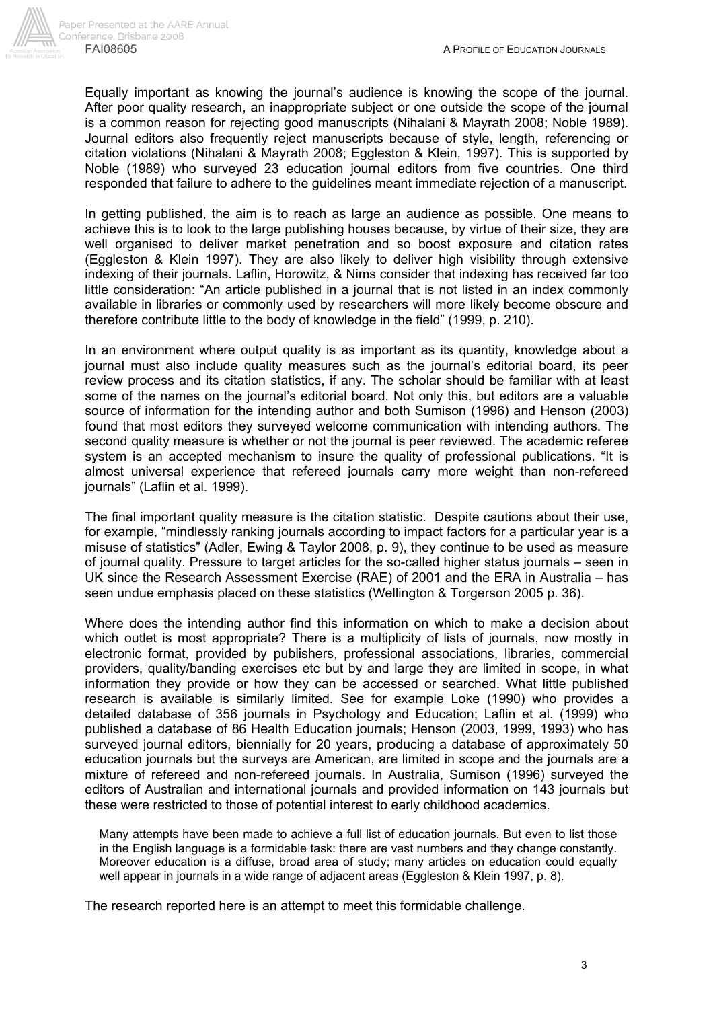

Equally important as knowing the journal's audience is knowing the scope of the journal. After poor quality research, an inappropriate subject or one outside the scope of the journal is a common reason for rejecting good manuscripts (Nihalani & Mayrath 2008; Noble 1989). Journal editors also frequently reject manuscripts because of style, length, referencing or citation violations (Nihalani & Mayrath 2008; Eggleston & Klein, 1997). This is supported by Noble (1989) who surveyed 23 education journal editors from five countries. One third responded that failure to adhere to the guidelines meant immediate rejection of a manuscript.

In getting published, the aim is to reach as large an audience as possible. One means to achieve this is to look to the large publishing houses because, by virtue of their size, they are well organised to deliver market penetration and so boost exposure and citation rates (Eggleston & Klein 1997). They are also likely to deliver high visibility through extensive indexing of their journals. Laflin, Horowitz, & Nims consider that indexing has received far too little consideration: "An article published in a journal that is not listed in an index commonly available in libraries or commonly used by researchers will more likely become obscure and therefore contribute little to the body of knowledge in the field" (1999, p. 210).

In an environment where output quality is as important as its quantity, knowledge about a journal must also include quality measures such as the journal's editorial board, its peer review process and its citation statistics, if any. The scholar should be familiar with at least some of the names on the journal's editorial board. Not only this, but editors are a valuable source of information for the intending author and both Sumison (1996) and Henson (2003) found that most editors they surveyed welcome communication with intending authors. The second quality measure is whether or not the journal is peer reviewed. The academic referee system is an accepted mechanism to insure the quality of professional publications. "It is almost universal experience that refereed journals carry more weight than non-refereed journals" (Laflin et al. 1999).

The final important quality measure is the citation statistic. Despite cautions about their use, for example, "mindlessly ranking journals according to impact factors for a particular year is a misuse of statistics" (Adler, Ewing & Taylor 2008, p. 9), they continue to be used as measure of journal quality. Pressure to target articles for the so-called higher status journals – seen in UK since the Research Assessment Exercise (RAE) of 2001 and the ERA in Australia – has seen undue emphasis placed on these statistics (Wellington & Torgerson 2005 p. 36).

Where does the intending author find this information on which to make a decision about which outlet is most appropriate? There is a multiplicity of lists of journals, now mostly in electronic format, provided by publishers, professional associations, libraries, commercial providers, quality/banding exercises etc but by and large they are limited in scope, in what information they provide or how they can be accessed or searched. What little published research is available is similarly limited. See for example Loke (1990) who provides a detailed database of 356 journals in Psychology and Education; Laflin et al. (1999) who published a database of 86 Health Education journals; Henson (2003, 1999, 1993) who has surveyed journal editors, biennially for 20 years, producing a database of approximately 50 education journals but the surveys are American, are limited in scope and the journals are a mixture of refereed and non-refereed journals. In Australia, Sumison (1996) surveyed the editors of Australian and international journals and provided information on 143 journals but these were restricted to those of potential interest to early childhood academics.

Many attempts have been made to achieve a full list of education journals. But even to list those in the English language is a formidable task: there are vast numbers and they change constantly. Moreover education is a diffuse, broad area of study; many articles on education could equally well appear in journals in a wide range of adjacent areas (Eggleston & Klein 1997, p. 8).

The research reported here is an attempt to meet this formidable challenge.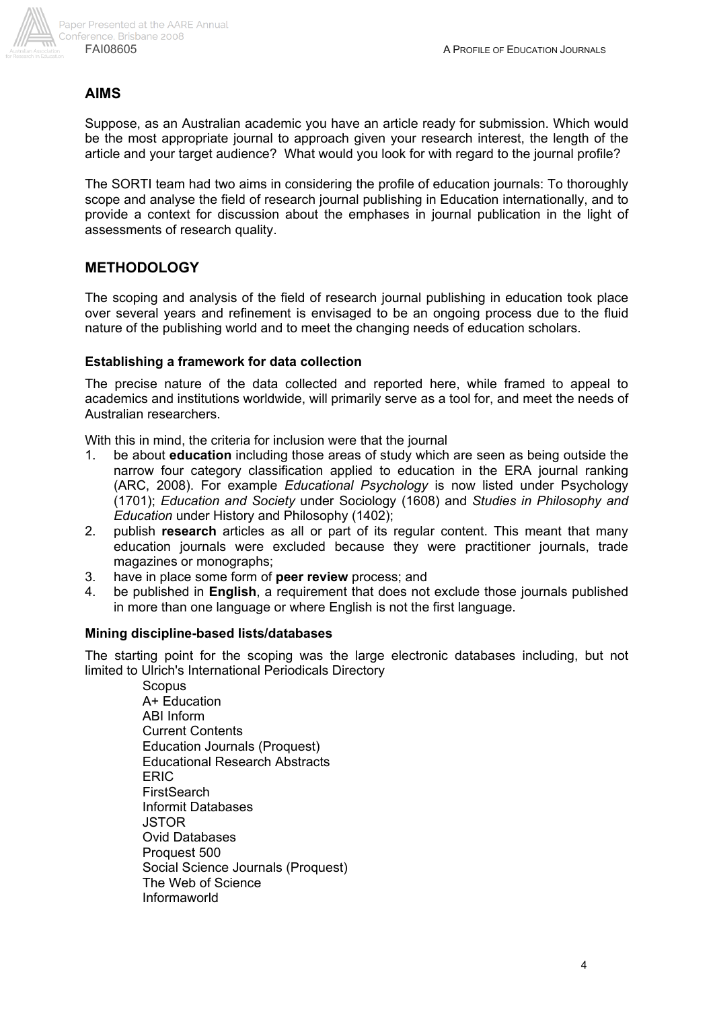

#### **AIMS**

Suppose, as an Australian academic you have an article ready for submission. Which would be the most appropriate journal to approach given your research interest, the length of the article and your target audience? What would you look for with regard to the journal profile?

The SORTI team had two aims in considering the profile of education journals: To thoroughly scope and analyse the field of research journal publishing in Education internationally, and to provide a context for discussion about the emphases in journal publication in the light of assessments of research quality.

#### **METHODOLOGY**

The scoping and analysis of the field of research journal publishing in education took place over several years and refinement is envisaged to be an ongoing process due to the fluid nature of the publishing world and to meet the changing needs of education scholars.

#### **Establishing a framework for data collection**

The precise nature of the data collected and reported here, while framed to appeal to academics and institutions worldwide, will primarily serve as a tool for, and meet the needs of Australian researchers.

With this in mind, the criteria for inclusion were that the journal

- 1. be about **education** including those areas of study which are seen as being outside the narrow four category classification applied to education in the ERA journal ranking (ARC, 2008). For example *Educational Psychology* is now listed under Psychology (1701); *Education and Society* under Sociology (1608) and *Studies in Philosophy and Education* under History and Philosophy (1402);
- 2. publish **research** articles as all or part of its regular content. This meant that many education journals were excluded because they were practitioner journals, trade magazines or monographs;
- 3. have in place some form of **peer review** process; and
- 4. be published in **English**, a requirement that does not exclude those journals published in more than one language or where English is not the first language.

#### **Mining discipline-based lists/databases**

The starting point for the scoping was the large electronic databases including, but not limited to Ulrich's International Periodicals Directory

> **Scopus** A+ Education ABI Inform Current Contents Education Journals (Proquest) Educational Research Abstracts ERIC **FirstSearch** Informit Databases **JSTOR** Ovid Databases Proquest 500 Social Science Journals (Proquest) The Web of Science Informaworld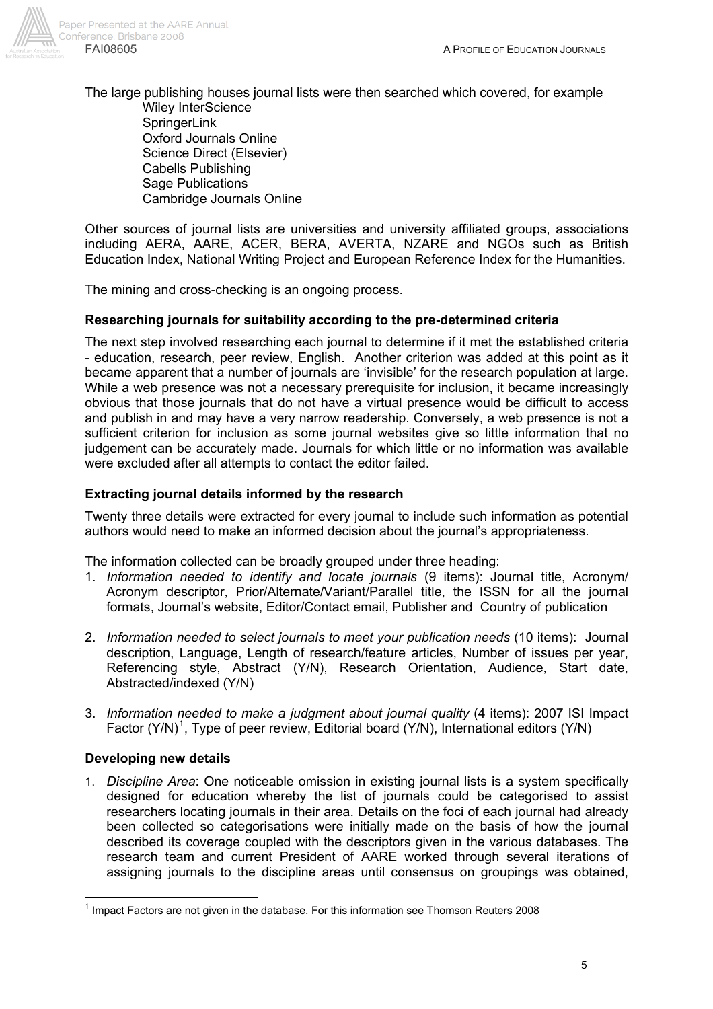

The large publishing houses journal lists were then searched which covered, for example Wiley InterScience **SpringerLink** Oxford Journals Online Science Direct (Elsevier) Cabells Publishing Sage Publications Cambridge Journals Online

Other sources of journal lists are universities and university affiliated groups, associations including AERA, AARE, ACER, BERA, AVERTA, NZARE and NGOs such as British Education Index, National Writing Project and European Reference Index for the Humanities.

The mining and cross-checking is an ongoing process.

### **Researching journals for suitability according to the pre-determined criteria**

The next step involved researching each journal to determine if it met the established criteria - education, research, peer review, English. Another criterion was added at this point as it became apparent that a number of journals are 'invisible' for the research population at large. While a web presence was not a necessary prerequisite for inclusion, it became increasingly obvious that those journals that do not have a virtual presence would be difficult to access and publish in and may have a very narrow readership. Conversely, a web presence is not a sufficient criterion for inclusion as some journal websites give so little information that no judgement can be accurately made. Journals for which little or no information was available were excluded after all attempts to contact the editor failed.

#### **Extracting journal details informed by the research**

Twenty three details were extracted for every journal to include such information as potential authors would need to make an informed decision about the journal's appropriateness.

The information collected can be broadly grouped under three heading:

- 1. *Information needed to identify and locate journals* (9 items): Journal title, Acronym/ Acronym descriptor, Prior/Alternate/Variant/Parallel title, the ISSN for all the journal formats, Journal's website, Editor/Contact email, Publisher and Country of publication
- 2. *Information needed to select journals to meet your publication needs* (10 items): Journal description, Language, Length of research/feature articles, Number of issues per year, Referencing style, Abstract (Y/N), Research Orientation, Audience, Start date, Abstracted/indexed (Y/N)
- 3. *Information needed to make a judgment about journal quality* (4 items): 2007 ISI Impact Factor  $(Y/N)^{1}$ , Type of peer review, Editorial board  $(Y/N)$ , International editors  $(Y/N)$

#### **Developing new details**

 $\overline{1}$ 

1. *Discipline Area*: One noticeable omission in existing journal lists is a system specifically designed for education whereby the list of journals could be categorised to assist researchers locating journals in their area. Details on the foci of each journal had already been collected so categorisations were initially made on the basis of how the journal described its coverage coupled with the descriptors given in the various databases. The research team and current President of AARE worked through several iterations of assigning journals to the discipline areas until consensus on groupings was obtained,

 $<sup>1</sup>$  Impact Factors are not given in the database. For this information see Thomson Reuters 2008</sup>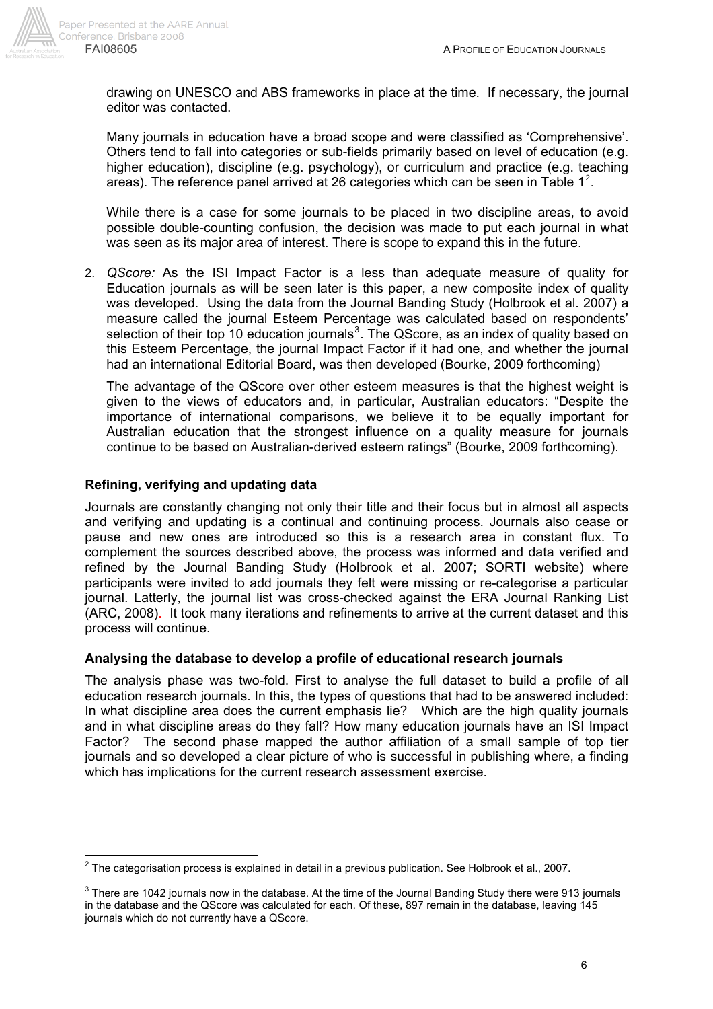

drawing on UNESCO and ABS frameworks in place at the time. If necessary, the journal editor was contacted.

Many journals in education have a broad scope and were classified as 'Comprehensive'. Others tend to fall into categories or sub-fields primarily based on level of education (e.g. higher education), discipline (e.g. psychology), or curriculum and practice (e.g. teaching areas). The reference panel arrived at 26 categories which can be seen in Table 1<sup>2</sup>.

While there is a case for some journals to be placed in two discipline areas, to avoid possible double-counting confusion, the decision was made to put each journal in what was seen as its major area of interest. There is scope to expand this in the future.

2. *QScore:* As the ISI Impact Factor is a less than adequate measure of quality for Education journals as will be seen later is this paper, a new composite index of quality was developed. Using the data from the Journal Banding Study (Holbrook et al. 2007) a measure called the journal Esteem Percentage was calculated based on respondents' selection of their top 10 education journals<sup>3</sup>. The QScore, as an index of quality based on this Esteem Percentage, the journal Impact Factor if it had one, and whether the journal had an international Editorial Board, was then developed (Bourke, 2009 forthcoming)

 The advantage of the QScore over other esteem measures is that the highest weight is given to the views of educators and, in particular, Australian educators: "Despite the importance of international comparisons, we believe it to be equally important for Australian education that the strongest influence on a quality measure for journals continue to be based on Australian-derived esteem ratings" (Bourke, 2009 forthcoming).

## **Refining, verifying and updating data**

 $\overline{a}$ 

Journals are constantly changing not only their title and their focus but in almost all aspects and verifying and updating is a continual and continuing process. Journals also cease or pause and new ones are introduced so this is a research area in constant flux. To complement the sources described above, the process was informed and data verified and refined by the Journal Banding Study (Holbrook et al. 2007; SORTI website) where participants were invited to add journals they felt were missing or re-categorise a particular journal. Latterly, the journal list was cross-checked against the ERA Journal Ranking List (ARC, 2008). It took many iterations and refinements to arrive at the current dataset and this process will continue.

### **Analysing the database to develop a profile of educational research journals**

The analysis phase was two-fold. First to analyse the full dataset to build a profile of all education research journals. In this, the types of questions that had to be answered included: In what discipline area does the current emphasis lie? Which are the high quality journals and in what discipline areas do they fall? How many education journals have an ISI Impact Factor? The second phase mapped the author affiliation of a small sample of top tier journals and so developed a clear picture of who is successful in publishing where, a finding which has implications for the current research assessment exercise.

 $^2$  The categorisation process is explained in detail in a previous publication. See Holbrook et al., 2007.

 $^3$  There are 1042 journals now in the database. At the time of the Journal Banding Study there were 913 journals in the database and the QScore was calculated for each. Of these, 897 remain in the database, leaving 145 journals which do not currently have a QScore.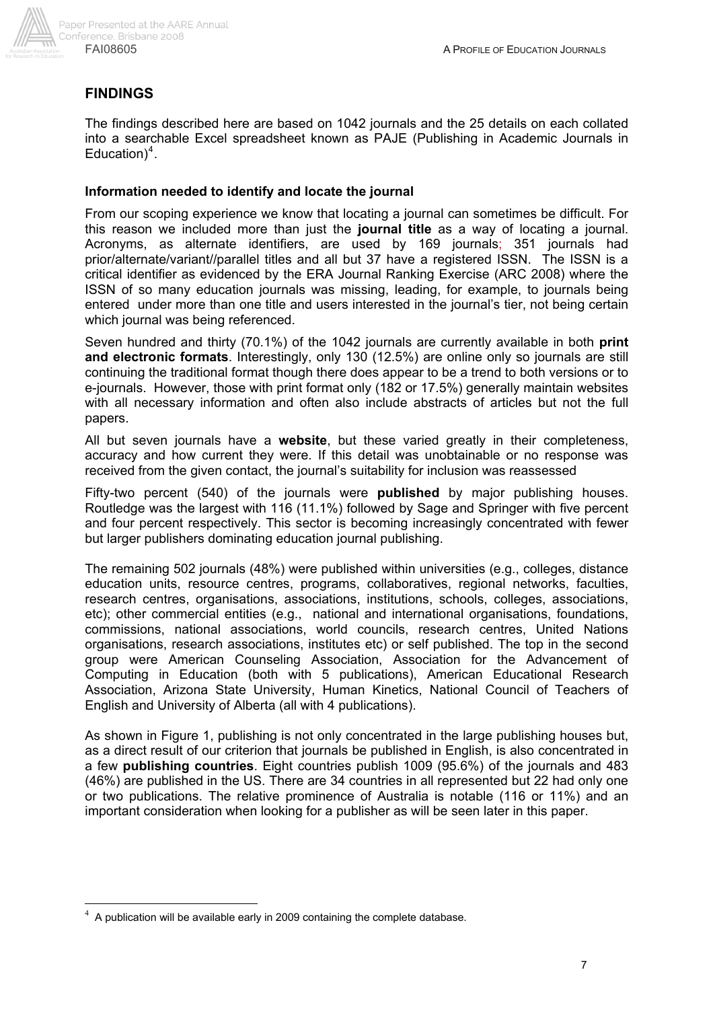

## **FINDINGS**

The findings described here are based on 1042 journals and the 25 details on each collated into a searchable Excel spreadsheet known as PAJE (Publishing in Academic Journals in Education)<sup>4</sup>.

#### **Information needed to identify and locate the journal**

From our scoping experience we know that locating a journal can sometimes be difficult. For this reason we included more than just the **journal title** as a way of locating a journal. Acronyms, as alternate identifiers, are used by 169 journals; 351 journals had prior/alternate/variant//parallel titles and all but 37 have a registered ISSN. The ISSN is a critical identifier as evidenced by the ERA Journal Ranking Exercise (ARC 2008) where the ISSN of so many education journals was missing, leading, for example, to journals being entered under more than one title and users interested in the journal's tier, not being certain which journal was being referenced.

Seven hundred and thirty (70.1%) of the 1042 journals are currently available in both **print and electronic formats**. Interestingly, only 130 (12.5%) are online only so journals are still continuing the traditional format though there does appear to be a trend to both versions or to e-journals. However, those with print format only (182 or 17.5%) generally maintain websites with all necessary information and often also include abstracts of articles but not the full papers.

All but seven journals have a **website**, but these varied greatly in their completeness, accuracy and how current they were. If this detail was unobtainable or no response was received from the given contact, the journal's suitability for inclusion was reassessed

Fifty-two percent (540) of the journals were **published** by major publishing houses. Routledge was the largest with 116 (11.1%) followed by Sage and Springer with five percent and four percent respectively. This sector is becoming increasingly concentrated with fewer but larger publishers dominating education journal publishing.

The remaining 502 journals (48%) were published within universities (e.g., colleges, distance education units, resource centres, programs, collaboratives, regional networks, faculties, research centres, organisations, associations, institutions, schools, colleges, associations, etc); other commercial entities (e.g., national and international organisations, foundations, commissions, national associations, world councils, research centres, United Nations organisations, research associations, institutes etc) or self published. The top in the second group were American Counseling Association, Association for the Advancement of Computing in Education (both with 5 publications), American Educational Research Association, Arizona State University, Human Kinetics, National Council of Teachers of English and University of Alberta (all with 4 publications).

As shown in Figure 1, publishing is not only concentrated in the large publishing houses but, as a direct result of our criterion that journals be published in English, is also concentrated in a few **publishing countries**. Eight countries publish 1009 (95.6%) of the journals and 483 (46%) are published in the US. There are 34 countries in all represented but 22 had only one or two publications. The relative prominence of Australia is notable (116 or 11%) and an important consideration when looking for a publisher as will be seen later in this paper.

 $\overline{a}$ 

<sup>4</sup> A publication will be available early in 2009 containing the complete database.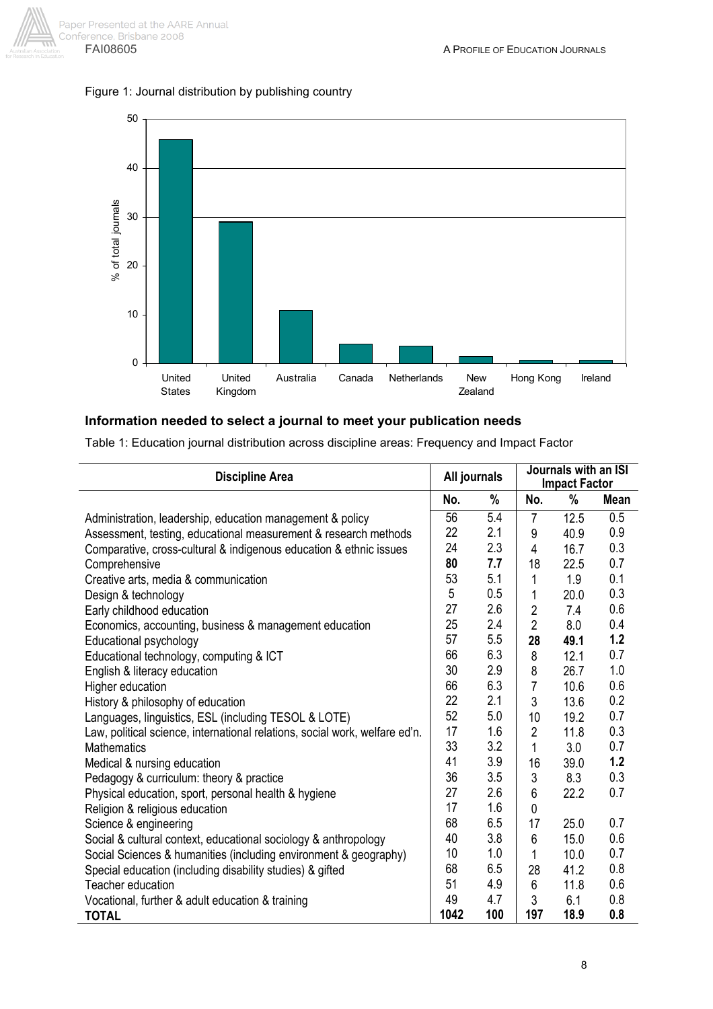



#### **Information needed to select a journal to meet your publication needs**

Table 1: Education journal distribution across discipline areas: Frequency and Impact Factor

| <b>Discipline Area</b>                                                      | All journals |     |                | Journals with an ISI<br><b>Impact Factor</b> |             |
|-----------------------------------------------------------------------------|--------------|-----|----------------|----------------------------------------------|-------------|
|                                                                             | No.          | %   | No.            | %                                            | <b>Mean</b> |
| Administration, leadership, education management & policy                   | 56           | 5.4 | $\overline{7}$ | 12.5                                         | 0.5         |
| Assessment, testing, educational measurement & research methods             | 22           | 2.1 | 9              | 40.9                                         | 0.9         |
| Comparative, cross-cultural & indigenous education & ethnic issues          | 24           | 2.3 | 4              | 16.7                                         | 0.3         |
| Comprehensive                                                               | 80           | 7.7 | 18             | 22.5                                         | 0.7         |
| Creative arts, media & communication                                        | 53           | 5.1 | 1              | 1.9                                          | 0.1         |
| Design & technology                                                         | 5            | 0.5 | 1              | 20.0                                         | 0.3         |
| Early childhood education                                                   | 27           | 2.6 | $\overline{2}$ | 7.4                                          | 0.6         |
| Economics, accounting, business & management education                      | 25           | 2.4 | $\overline{2}$ | 8.0                                          | 0.4         |
| Educational psychology                                                      | 57           | 5.5 | 28             | 49.1                                         | 1.2         |
| Educational technology, computing & ICT                                     | 66           | 6.3 | 8              | 12.1                                         | 0.7         |
| English & literacy education                                                | 30           | 2.9 | 8              | 26.7                                         | 1.0         |
| Higher education                                                            | 66           | 6.3 | $\overline{7}$ | 10.6                                         | 0.6         |
| History & philosophy of education                                           | 22           | 2.1 | 3              | 13.6                                         | 0.2         |
| Languages, linguistics, ESL (including TESOL & LOTE)                        | 52           | 5.0 | 10             | 19.2                                         | 0.7         |
| Law, political science, international relations, social work, welfare ed'n. | 17           | 1.6 | $\overline{2}$ | 11.8                                         | 0.3         |
| <b>Mathematics</b>                                                          | 33           | 3.2 | 1              | 3.0                                          | 0.7         |
| Medical & nursing education                                                 | 41           | 3.9 | 16             | 39.0                                         | 1.2         |
| Pedagogy & curriculum: theory & practice                                    | 36           | 3.5 | 3              | 8.3                                          | 0.3         |
| Physical education, sport, personal health & hygiene                        | 27           | 2.6 | 6              | 22.2                                         | 0.7         |
| Religion & religious education                                              | 17           | 1.6 | 0              |                                              |             |
| Science & engineering                                                       | 68           | 6.5 | 17             | 25.0                                         | 0.7         |
| Social & cultural context, educational sociology & anthropology             | 40           | 3.8 | 6              | 15.0                                         | 0.6         |
| Social Sciences & humanities (including environment & geography)            | 10           | 1.0 | 1              | 10.0                                         | 0.7         |
| Special education (including disability studies) & gifted                   | 68           | 6.5 | 28             | 41.2                                         | 0.8         |
| Teacher education                                                           | 51           | 4.9 | 6              | 11.8                                         | 0.6         |
| Vocational, further & adult education & training                            | 49           | 4.7 | 3              | 6.1                                          | 0.8         |
| <b>TOTAL</b>                                                                | 1042         | 100 | 197            | 18.9                                         | 0.8         |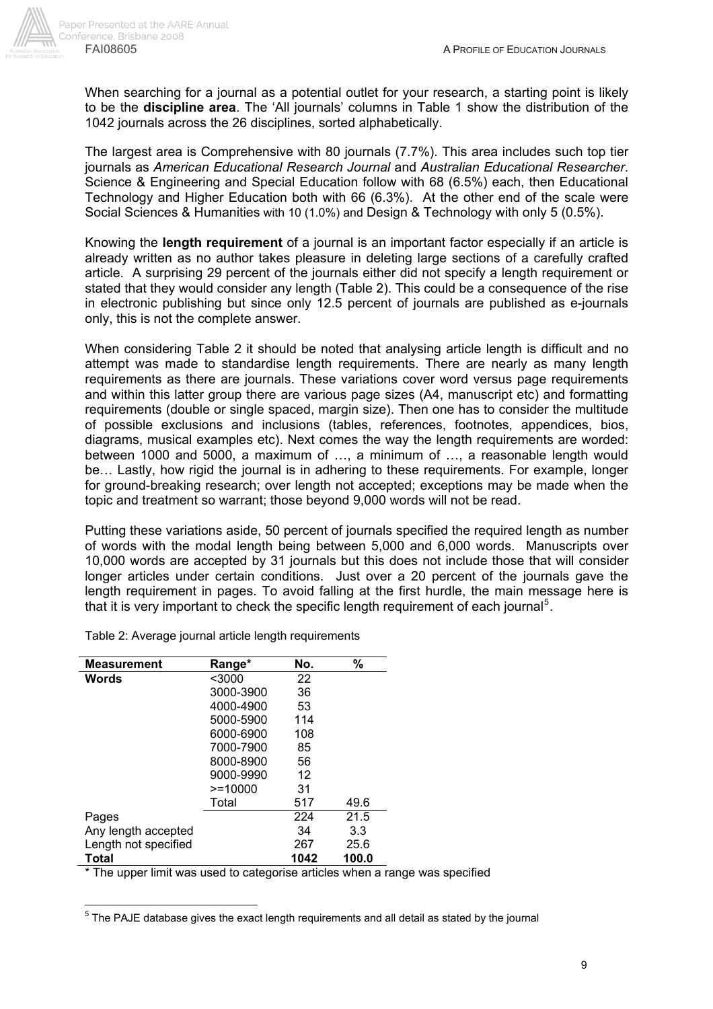When searching for a journal as a potential outlet for your research, a starting point is likely to be the **discipline area**. The 'All journals' columns in Table 1 show the distribution of the 1042 journals across the 26 disciplines, sorted alphabetically.

The largest area is Comprehensive with 80 journals (7.7%). This area includes such top tier journals as *American Educational Research Journal* and *Australian Educational Researcher*. Science & Engineering and Special Education follow with 68 (6.5%) each, then Educational Technology and Higher Education both with 66 (6.3%). At the other end of the scale were Social Sciences & Humanities with 10 (1.0%) and Design & Technology with only 5 (0.5%).

Knowing the **length requirement** of a journal is an important factor especially if an article is already written as no author takes pleasure in deleting large sections of a carefully crafted article. A surprising 29 percent of the journals either did not specify a length requirement or stated that they would consider any length (Table 2). This could be a consequence of the rise in electronic publishing but since only 12.5 percent of journals are published as e-journals only, this is not the complete answer.

When considering Table 2 it should be noted that analysing article length is difficult and no attempt was made to standardise length requirements. There are nearly as many length requirements as there are journals. These variations cover word versus page requirements and within this latter group there are various page sizes (A4, manuscript etc) and formatting requirements (double or single spaced, margin size). Then one has to consider the multitude of possible exclusions and inclusions (tables, references, footnotes, appendices, bios, diagrams, musical examples etc). Next comes the way the length requirements are worded: between 1000 and 5000, a maximum of …, a minimum of …, a reasonable length would be… Lastly, how rigid the journal is in adhering to these requirements. For example, longer for ground-breaking research; over length not accepted; exceptions may be made when the topic and treatment so warrant; those beyond 9,000 words will not be read.

Putting these variations aside, 50 percent of journals specified the required length as number of words with the modal length being between 5,000 and 6,000 words. Manuscripts over 10,000 words are accepted by 31 journals but this does not include those that will consider longer articles under certain conditions. Just over a 20 percent of the journals gave the length requirement in pages. To avoid falling at the first hurdle, the main message here is that it is very important to check the specific length requirement of each journal<sup>5</sup>.

| <b>Measurement</b>   | Range*     | No.  | %     |
|----------------------|------------|------|-------|
| <b>Words</b>         | $3000$     | 22   |       |
|                      | 3000-3900  | 36   |       |
|                      | 4000-4900  | 53   |       |
|                      | 5000-5900  | 114  |       |
|                      | 6000-6900  | 108  |       |
|                      | 7000-7900  | 85   |       |
|                      | 8000-8900  | 56   |       |
|                      | 9000-9990  | 12   |       |
|                      | $>= 10000$ | 31   |       |
|                      | Total      | 517  | 49.6  |
| Pages                |            | 224  | 21.5  |
| Any length accepted  |            | 34   | 3.3   |
| Length not specified |            | 267  | 25.6  |
| Total                |            | 1042 | 100.0 |

Table 2: Average journal article length requirements

\* The upper limit was used to categorise articles when a range was specified

————————————————————<br><sup>5</sup> The PAJE database gives the exact length requirements and all detail as stated by the journal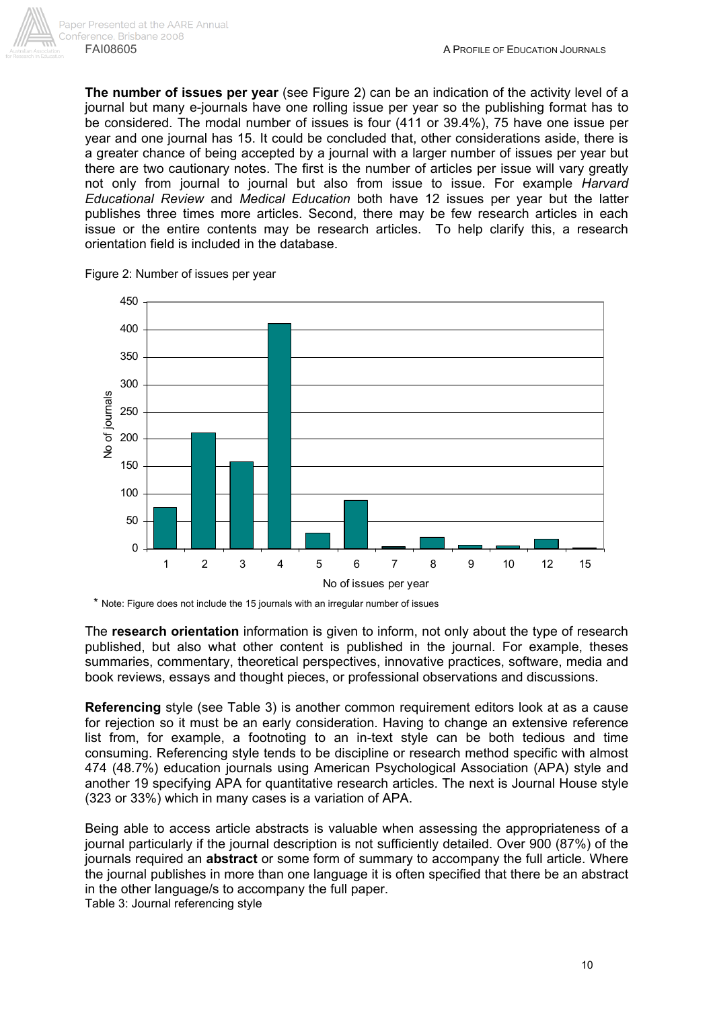

**The number of issues per year** (see Figure 2) can be an indication of the activity level of a journal but many e-journals have one rolling issue per year so the publishing format has to be considered. The modal number of issues is four (411 or 39.4%), 75 have one issue per year and one journal has 15. It could be concluded that, other considerations aside, there is a greater chance of being accepted by a journal with a larger number of issues per year but there are two cautionary notes. The first is the number of articles per issue will vary greatly not only from journal to journal but also from issue to issue. For example *Harvard Educational Review* and *Medical Education* both have 12 issues per year but the latter publishes three times more articles. Second, there may be few research articles in each issue or the entire contents may be research articles. To help clarify this, a research orientation field is included in the database.



Figure 2: Number of issues per year

\* Note: Figure does not include the 15 journals with an irregular number of issues

The **research orientation** information is given to inform, not only about the type of research published, but also what other content is published in the journal. For example, theses summaries, commentary, theoretical perspectives, innovative practices, software, media and book reviews, essays and thought pieces, or professional observations and discussions.

**Referencing** style (see Table 3) is another common requirement editors look at as a cause for rejection so it must be an early consideration. Having to change an extensive reference list from, for example, a footnoting to an in-text style can be both tedious and time consuming. Referencing style tends to be discipline or research method specific with almost 474 (48.7%) education journals using American Psychological Association (APA) style and another 19 specifying APA for quantitative research articles. The next is Journal House style (323 or 33%) which in many cases is a variation of APA.

Being able to access article abstracts is valuable when assessing the appropriateness of a journal particularly if the journal description is not sufficiently detailed. Over 900 (87%) of the journals required an **abstract** or some form of summary to accompany the full article. Where the journal publishes in more than one language it is often specified that there be an abstract in the other language/s to accompany the full paper.

Table 3: Journal referencing style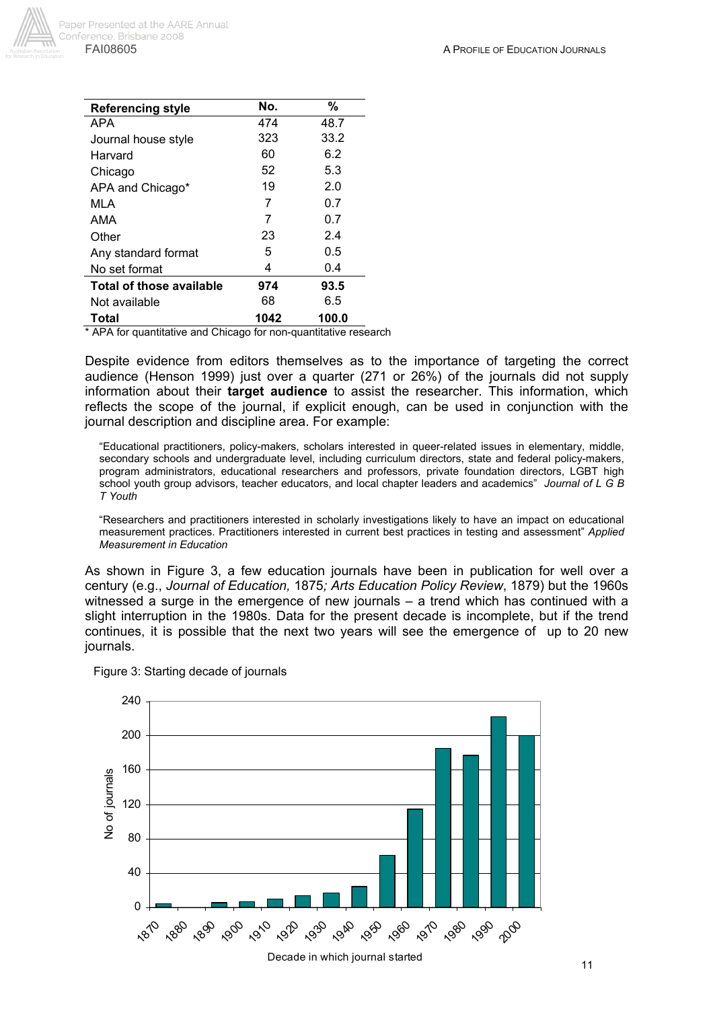

| <b>Referencing style</b>        | No.  | %     |
|---------------------------------|------|-------|
| APA                             | 474  | 48.7  |
| Journal house style             | 323  | 33.2  |
| Harvard                         | 60   | 6.2   |
| Chicago                         | 52   | 5.3   |
| APA and Chicago*                | 19   | 2.0   |
| MLA                             | 7    | 0.7   |
| AMA                             | 7    | 0.7   |
| Other                           | 23   | 2.4   |
| Any standard format             | 5    | 0.5   |
| No set format                   | 4    | 0.4   |
| <b>Total of those available</b> | 974  | 93.5  |
| Not available                   | 68   | 6.5   |
| Total                           | 1042 | 100.0 |

APA for quantitative and Chicago for non-quantitative research

Despite evidence from editors themselves as to the importance of targeting the correct audience (Henson 1999) just over a quarter (271 or 26%) of the journals did not supply information about their **target audience** to assist the researcher. This information, which reflects the scope of the journal, if explicit enough, can be used in conjunction with the journal description and discipline area. For example:

"Educational practitioners, policy-makers, scholars interested in queer-related issues in elementary, middle, secondary schools and undergraduate level, including curriculum directors, state and federal policy-makers, program administrators, educational researchers and professors, private foundation directors, LGBT high school youth group advisors, teacher educators, and local chapter leaders and academics" *Journal of L G B T Youth*

"Researchers and practitioners interested in scholarly investigations likely to have an impact on educational measurement practices. Practitioners interested in current best practices in testing and assessment" *Applied Measurement in Education* 

As shown in Figure 3, a few education journals have been in publication for well over a century (e.g., *Journal of Education,* 1875*; Arts Education Policy Review*, 1879) but the 1960s witnessed a surge in the emergence of new journals – a trend which has continued with a slight interruption in the 1980s. Data for the present decade is incomplete, but if the trend continues, it is possible that the next two years will see the emergence of up to 20 new journals.



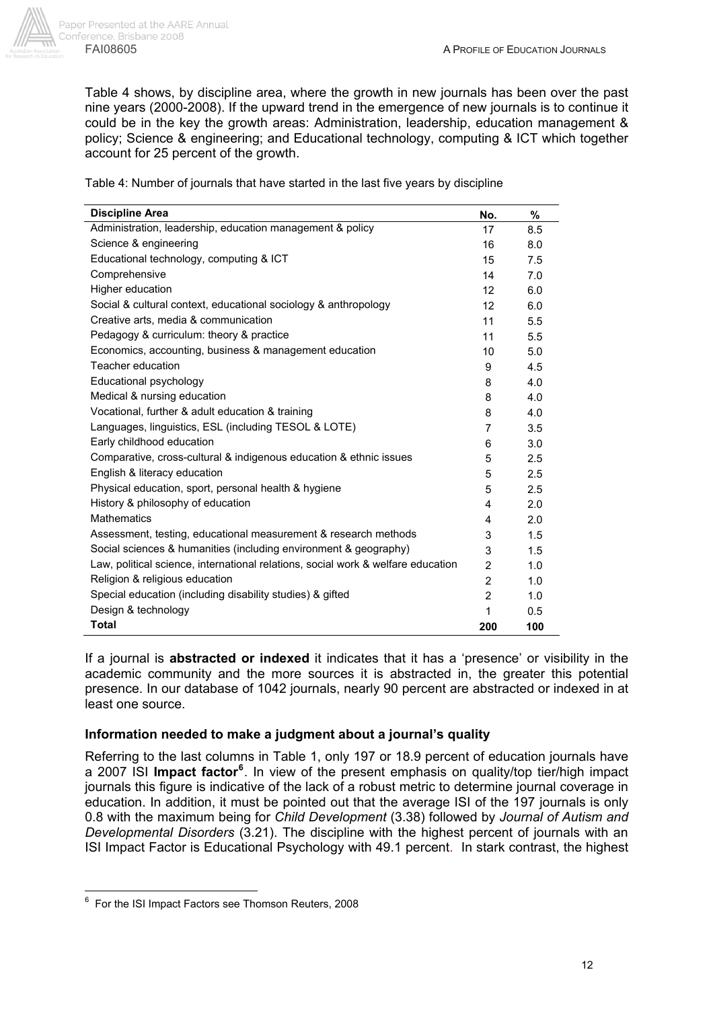

Table 4 shows, by discipline area, where the growth in new journals has been over the past nine years (2000-2008). If the upward trend in the emergence of new journals is to continue it could be in the key the growth areas: Administration, leadership, education management & policy; Science & engineering; and Educational technology, computing & ICT which together account for 25 percent of the growth.

Table 4: Number of journals that have started in the last five years by discipline

| <b>Discipline Area</b>                                                           | No.             | %   |
|----------------------------------------------------------------------------------|-----------------|-----|
| Administration, leadership, education management & policy                        | 17              | 8.5 |
| Science & engineering                                                            | 16              | 8.0 |
| Educational technology, computing & ICT                                          | 15              | 7.5 |
| Comprehensive                                                                    | 14              | 7.0 |
| Higher education                                                                 | 12 <sup>2</sup> | 6.0 |
| Social & cultural context, educational sociology & anthropology                  | 12 <sup>2</sup> | 6.0 |
| Creative arts, media & communication                                             | 11              | 5.5 |
| Pedagogy & curriculum: theory & practice                                         | 11              | 5.5 |
| Economics, accounting, business & management education                           | 10              | 5.0 |
| Teacher education                                                                | 9               | 4.5 |
| Educational psychology                                                           | 8               | 4.0 |
| Medical & nursing education                                                      | 8               | 4.0 |
| Vocational, further & adult education & training                                 | 8               | 4.0 |
| Languages, linguistics, ESL (including TESOL & LOTE)                             | $\overline{7}$  | 3.5 |
| Early childhood education                                                        | 6               | 3.0 |
| Comparative, cross-cultural & indigenous education & ethnic issues               | 5               | 2.5 |
| English & literacy education                                                     | 5               | 2.5 |
| Physical education, sport, personal health & hygiene                             | 5               | 2.5 |
| History & philosophy of education                                                | 4               | 2.0 |
| <b>Mathematics</b>                                                               | 4               | 2.0 |
| Assessment, testing, educational measurement & research methods                  | 3               | 1.5 |
| Social sciences & humanities (including environment & geography)                 | 3               | 1.5 |
| Law, political science, international relations, social work & welfare education | $\overline{2}$  | 1.0 |
| Religion & religious education                                                   | $\overline{2}$  | 1.0 |
| Special education (including disability studies) & gifted                        | $\overline{2}$  | 1.0 |
| Design & technology                                                              | 1               | 0.5 |
| <b>Total</b>                                                                     | 200             | 100 |

If a journal is **abstracted or indexed** it indicates that it has a 'presence' or visibility in the academic community and the more sources it is abstracted in, the greater this potential presence. In our database of 1042 journals, nearly 90 percent are abstracted or indexed in at least one source.

### **Information needed to make a judgment about a journal's quality**

Referring to the last columns in Table 1, only 197 or 18.9 percent of education journals have a 2007 ISI **Impact factor<sup>6</sup>** . In view of the present emphasis on quality/top tier/high impact journals this figure is indicative of the lack of a robust metric to determine journal coverage in education. In addition, it must be pointed out that the average ISI of the 197 journals is only 0.8 with the maximum being for *Child Development* (3.38) followed by *Journal of Autism and Developmental Disorders* (3.21). The discipline with the highest percent of journals with an ISI Impact Factor is Educational Psychology with 49.1 percent. In stark contrast, the highest

 6 For the ISI Impact Factors see Thomson Reuters, 2008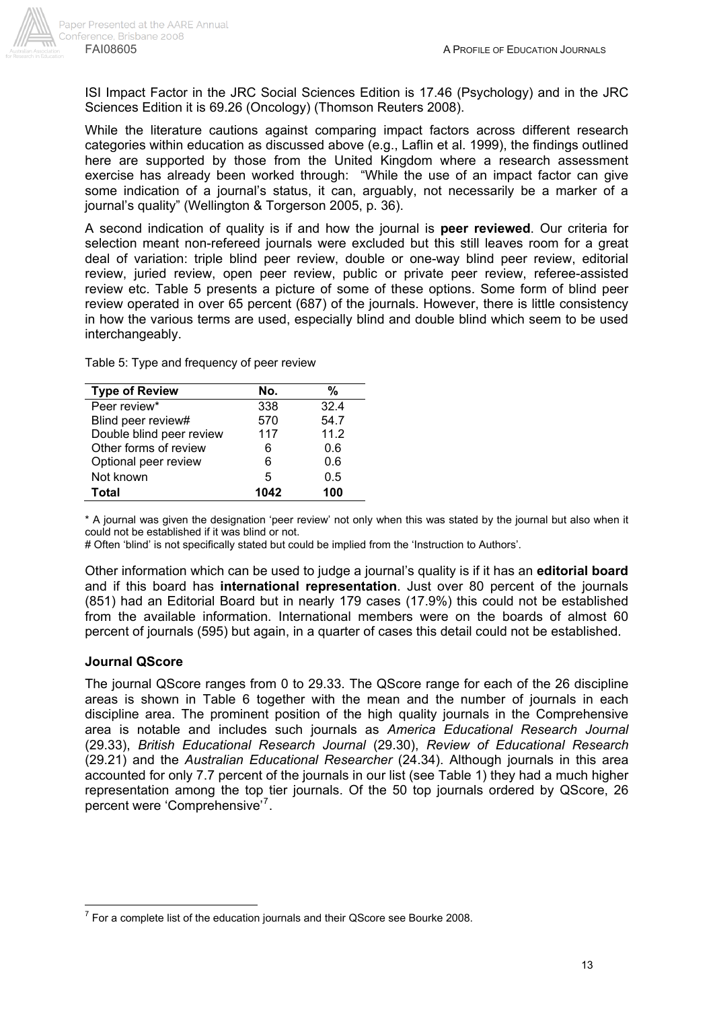ISI Impact Factor in the JRC Social Sciences Edition is 17.46 (Psychology) and in the JRC Sciences Edition it is 69.26 (Oncology) (Thomson Reuters 2008).

While the literature cautions against comparing impact factors across different research categories within education as discussed above (e.g., Laflin et al. 1999), the findings outlined here are supported by those from the United Kingdom where a research assessment exercise has already been worked through: "While the use of an impact factor can give some indication of a journal's status, it can, arguably, not necessarily be a marker of a journal's quality" (Wellington & Torgerson 2005, p. 36).

A second indication of quality is if and how the journal is **peer reviewed**. Our criteria for selection meant non-refereed journals were excluded but this still leaves room for a great deal of variation: triple blind peer review, double or one-way blind peer review, editorial review, juried review, open peer review, public or private peer review, referee-assisted review etc. Table 5 presents a picture of some of these options. Some form of blind peer review operated in over 65 percent (687) of the journals. However, there is little consistency in how the various terms are used, especially blind and double blind which seem to be used interchangeably.

Table 5: Type and frequency of peer review

| <b>Type of Review</b>    | No.  | %    |
|--------------------------|------|------|
| Peer review*             | 338  | 32.4 |
| Blind peer review#       | 570  | 54.7 |
| Double blind peer review | 117  | 11.2 |
| Other forms of review    | 6    | 0.6  |
| Optional peer review     | 6    | 0.6  |
| Not known                | 5    | 0.5  |
| <b>Total</b>             | 1042 | 100  |

\* A journal was given the designation 'peer review' not only when this was stated by the journal but also when it could not be established if it was blind or not.

# Often 'blind' is not specifically stated but could be implied from the 'Instruction to Authors'.

Other information which can be used to judge a journal's quality is if it has an **editorial board** and if this board has **international representation**. Just over 80 percent of the journals (851) had an Editorial Board but in nearly 179 cases (17.9%) this could not be established from the available information. International members were on the boards of almost 60 percent of journals (595) but again, in a quarter of cases this detail could not be established.

#### **Journal QScore**

The journal QScore ranges from 0 to 29.33. The QScore range for each of the 26 discipline areas is shown in Table 6 together with the mean and the number of journals in each discipline area. The prominent position of the high quality journals in the Comprehensive area is notable and includes such journals as *America Educational Research Journal* (29.33), *British Educational Research Journal* (29.30), *Review of Educational Research* (29.21) and the *Australian Educational Researcher* (24.34). Although journals in this area accounted for only 7.7 percent of the journals in our list (see Table 1) they had a much higher representation among the top tier journals. Of the 50 top journals ordered by QScore, 26 percent were 'Comprehensive'<sup>7</sup>.

 7 For a complete list of the education journals and their QScore see Bourke 2008.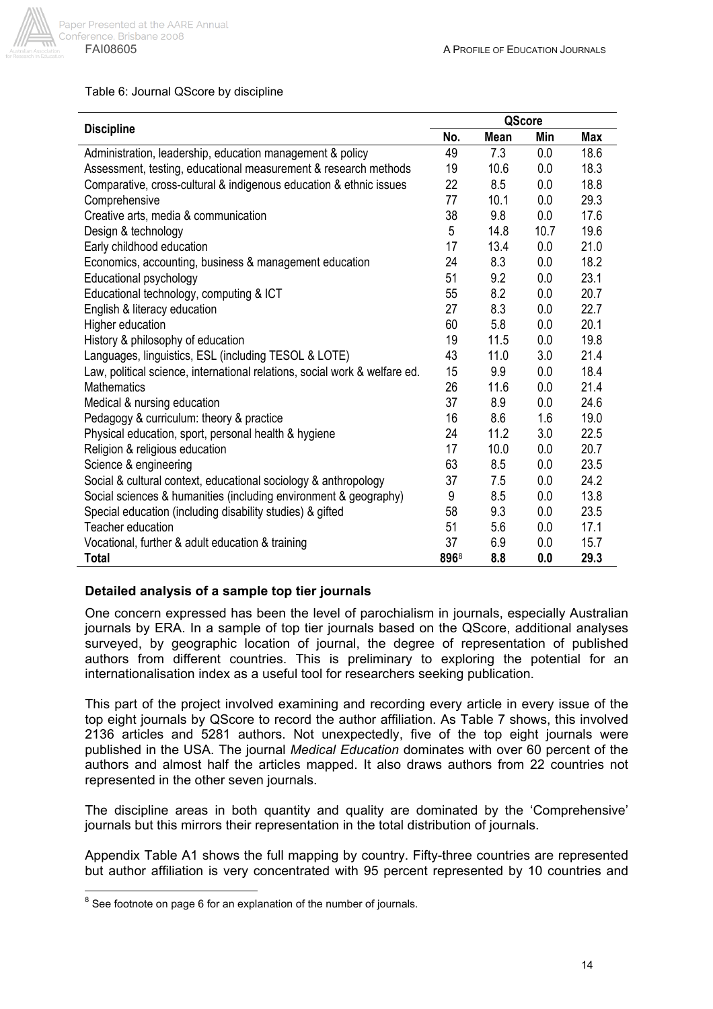

#### Table 6: Journal QScore by discipline

| <b>Discipline</b>                                                          |      | QScore |      |            |
|----------------------------------------------------------------------------|------|--------|------|------------|
|                                                                            | No.  | Mean   | Min  | <b>Max</b> |
| Administration, leadership, education management & policy                  | 49   | 7.3    | 0.0  | 18.6       |
| Assessment, testing, educational measurement & research methods            | 19   | 10.6   | 0.0  | 18.3       |
| Comparative, cross-cultural & indigenous education & ethnic issues         | 22   | 8.5    | 0.0  | 18.8       |
| Comprehensive                                                              | 77   | 10.1   | 0.0  | 29.3       |
| Creative arts, media & communication                                       | 38   | 9.8    | 0.0  | 17.6       |
| Design & technology                                                        | 5    | 14.8   | 10.7 | 19.6       |
| Early childhood education                                                  | 17   | 13.4   | 0.0  | 21.0       |
| Economics, accounting, business & management education                     | 24   | 8.3    | 0.0  | 18.2       |
| Educational psychology                                                     | 51   | 9.2    | 0.0  | 23.1       |
| Educational technology, computing & ICT                                    | 55   | 8.2    | 0.0  | 20.7       |
| English & literacy education                                               | 27   | 8.3    | 0.0  | 22.7       |
| Higher education                                                           | 60   | 5.8    | 0.0  | 20.1       |
| History & philosophy of education                                          | 19   | 11.5   | 0.0  | 19.8       |
| Languages, linguistics, ESL (including TESOL & LOTE)                       | 43   | 11.0   | 3.0  | 21.4       |
| Law, political science, international relations, social work & welfare ed. | 15   | 9.9    | 0.0  | 18.4       |
| Mathematics                                                                | 26   | 11.6   | 0.0  | 21.4       |
| Medical & nursing education                                                | 37   | 8.9    | 0.0  | 24.6       |
| Pedagogy & curriculum: theory & practice                                   | 16   | 8.6    | 1.6  | 19.0       |
| Physical education, sport, personal health & hygiene                       | 24   | 11.2   | 3.0  | 22.5       |
| Religion & religious education                                             | 17   | 10.0   | 0.0  | 20.7       |
| Science & engineering                                                      | 63   | 8.5    | 0.0  | 23.5       |
| Social & cultural context, educational sociology & anthropology            | 37   | 7.5    | 0.0  | 24.2       |
| Social sciences & humanities (including environment & geography)           | 9    | 8.5    | 0.0  | 13.8       |
| Special education (including disability studies) & gifted                  | 58   | 9.3    | 0.0  | 23.5       |
| Teacher education                                                          | 51   | 5.6    | 0.0  | 17.1       |
| Vocational, further & adult education & training                           | 37   | 6.9    | 0.0  | 15.7       |
| <b>Total</b>                                                               | 8968 | 8.8    | 0.0  | 29.3       |

### **Detailed analysis of a sample top tier journals**

One concern expressed has been the level of parochialism in journals, especially Australian journals by ERA. In a sample of top tier journals based on the QScore, additional analyses surveyed, by geographic location of journal, the degree of representation of published authors from different countries. This is preliminary to exploring the potential for an internationalisation index as a useful tool for researchers seeking publication.

This part of the project involved examining and recording every article in every issue of the top eight journals by QScore to record the author affiliation. As Table 7 shows, this involved 2136 articles and 5281 authors. Not unexpectedly, five of the top eight journals were published in the USA. The journal *Medical Education* dominates with over 60 percent of the authors and almost half the articles mapped. It also draws authors from 22 countries not represented in the other seven journals.

The discipline areas in both quantity and quality are dominated by the 'Comprehensive' journals but this mirrors their representation in the total distribution of journals.

Appendix Table A1 shows the full mapping by country. Fifty-three countries are represented but author affiliation is very concentrated with 95 percent represented by 10 countries and

endoned a mattem manner of the number of journals.<br><sup>8</sup> See footnote on page 6 for an explanation of the number of journals.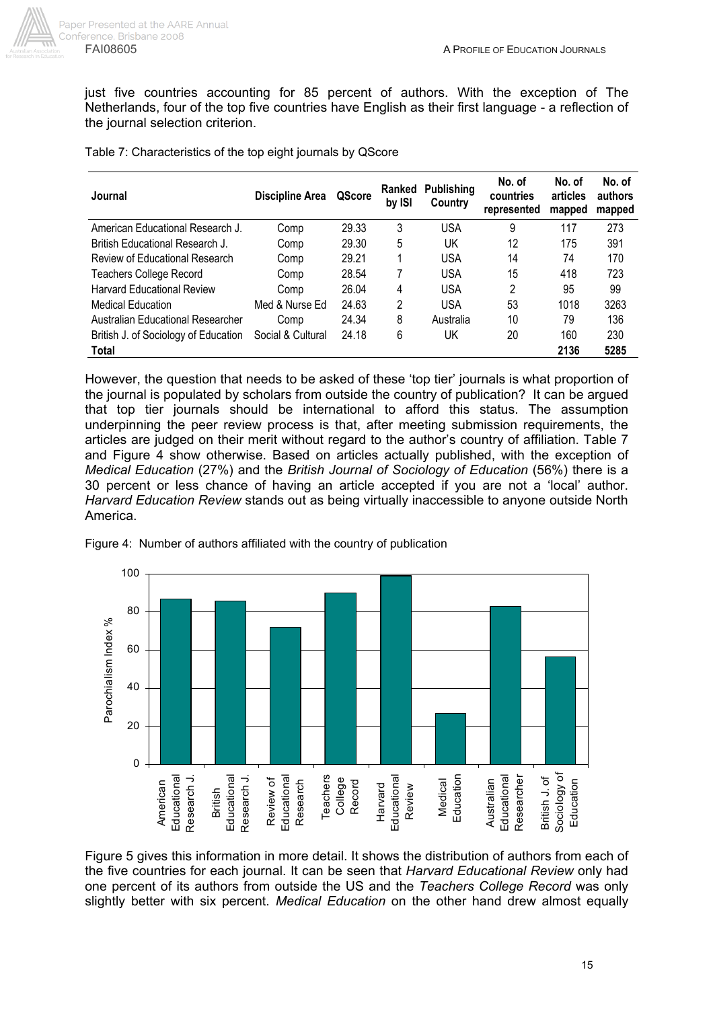

just five countries accounting for 85 percent of authors. With the exception of The Netherlands, four of the top five countries have English as their first language - a reflection of the journal selection criterion.

| Table 7: Characteristics of the top eight journals by QScore |  |  |  |  |  |
|--------------------------------------------------------------|--|--|--|--|--|
|--------------------------------------------------------------|--|--|--|--|--|

| Journal                              | Discipline Area   | QScore | Ranked<br>by ISI | <b>Publishing</b><br>Country | No. of<br>countries<br>represented | No. of<br>articles<br>mapped | No. of<br>authors<br>mapped |
|--------------------------------------|-------------------|--------|------------------|------------------------------|------------------------------------|------------------------------|-----------------------------|
| American Educational Research J.     | Comp              | 29.33  | 3                | USA                          | 9                                  | 117                          | 273                         |
| British Educational Research J.      | Comp              | 29.30  | 5                | UK                           | 12                                 | 175                          | 391                         |
| Review of Educational Research       | Comp              | 29.21  | 1                | <b>USA</b>                   | 14                                 | 74                           | 170                         |
| <b>Teachers College Record</b>       | Comp              | 28.54  | 7                | <b>USA</b>                   | 15                                 | 418                          | 723                         |
| <b>Harvard Educational Review</b>    | Comp              | 26.04  | 4                | <b>USA</b>                   | 2                                  | 95                           | 99                          |
| <b>Medical Education</b>             | Med & Nurse Ed    | 24.63  | 2                | <b>USA</b>                   | 53                                 | 1018                         | 3263                        |
| Australian Educational Researcher    | Comp              | 24.34  | 8                | Australia                    | 10                                 | 79                           | 136                         |
| British J. of Sociology of Education | Social & Cultural | 24.18  | 6                | UK                           | 20                                 | 160                          | 230                         |
| <b>Total</b>                         |                   |        |                  |                              |                                    | 2136                         | 5285                        |

However, the question that needs to be asked of these 'top tier' journals is what proportion of the journal is populated by scholars from outside the country of publication? It can be argued that top tier journals should be international to afford this status. The assumption underpinning the peer review process is that, after meeting submission requirements, the articles are judged on their merit without regard to the author's country of affiliation. Table 7 and Figure 4 show otherwise. Based on articles actually published, with the exception of *Medical Education* (27%) and the *British Journal of Sociology of Education* (56%) there is a 30 percent or less chance of having an article accepted if you are not a 'local' author. *Harvard Education Review* stands out as being virtually inaccessible to anyone outside North America.



Figure 4: Number of authors affiliated with the country of publication

Figure 5 gives this information in more detail. It shows the distribution of authors from each of the five countries for each journal. It can be seen that *Harvard Educational Review* only had one percent of its authors from outside the US and the *Teachers College Record* was only slightly better with six percent. *Medical Education* on the other hand drew almost equally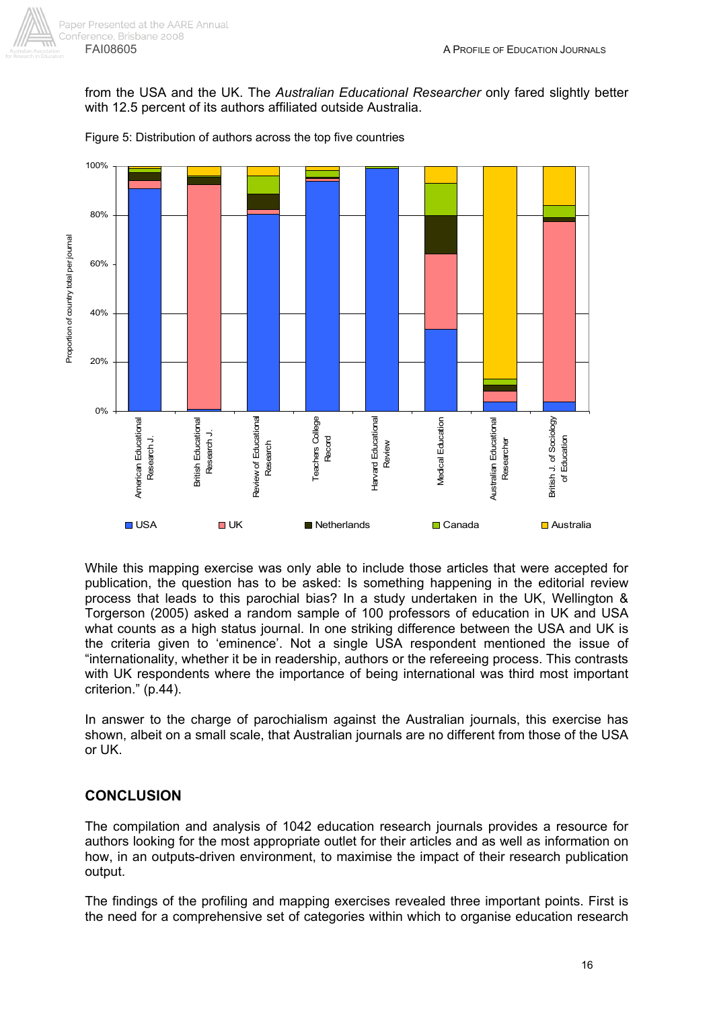

from the USA and the UK. The *Australian Educational Researcher* only fared slightly better with 12.5 percent of its authors affiliated outside Australia.



Figure 5: Distribution of authors across the top five countries

While this mapping exercise was only able to include those articles that were accepted for publication, the question has to be asked: Is something happening in the editorial review process that leads to this parochial bias? In a study undertaken in the UK, Wellington & Torgerson (2005) asked a random sample of 100 professors of education in UK and USA what counts as a high status journal. In one striking difference between the USA and UK is the criteria given to 'eminence'. Not a single USA respondent mentioned the issue of "internationality, whether it be in readership, authors or the refereeing process. This contrasts with UK respondents where the importance of being international was third most important criterion." (p.44).

In answer to the charge of parochialism against the Australian journals, this exercise has shown, albeit on a small scale, that Australian journals are no different from those of the USA or UK.

## **CONCLUSION**

The compilation and analysis of 1042 education research journals provides a resource for authors looking for the most appropriate outlet for their articles and as well as information on how, in an outputs-driven environment, to maximise the impact of their research publication output.

The findings of the profiling and mapping exercises revealed three important points. First is the need for a comprehensive set of categories within which to organise education research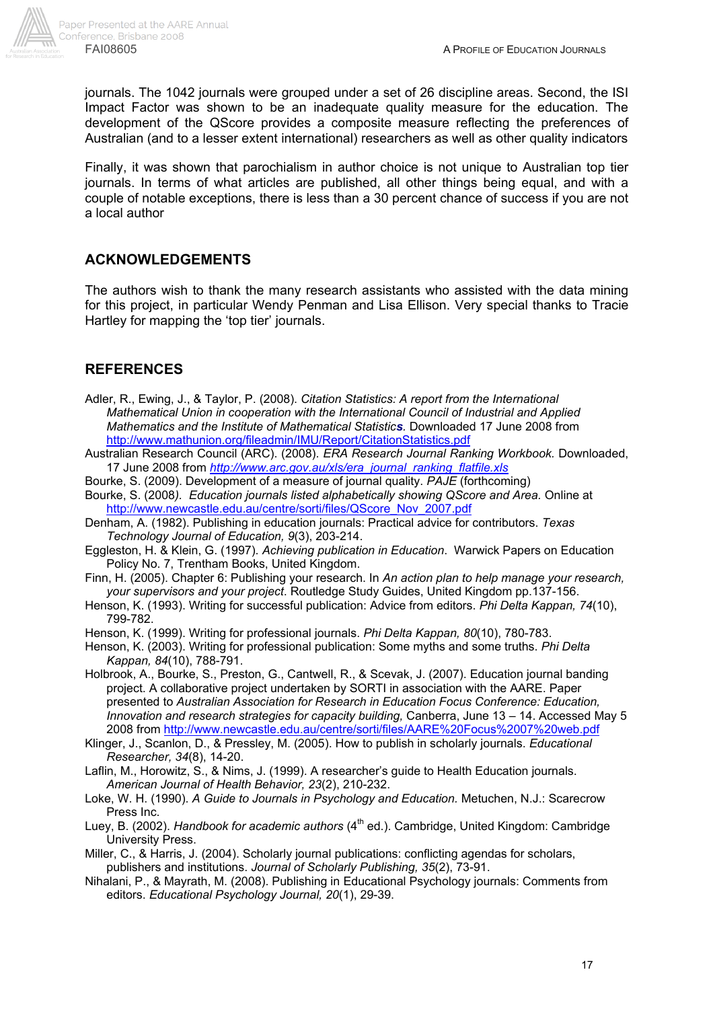journals. The 1042 journals were grouped under a set of 26 discipline areas. Second, the ISI Impact Factor was shown to be an inadequate quality measure for the education. The development of the QScore provides a composite measure reflecting the preferences of Australian (and to a lesser extent international) researchers as well as other quality indicators

Finally, it was shown that parochialism in author choice is not unique to Australian top tier journals. In terms of what articles are published, all other things being equal, and with a couple of notable exceptions, there is less than a 30 percent chance of success if you are not a local author

## **ACKNOWLEDGEMENTS**

The authors wish to thank the many research assistants who assisted with the data mining for this project, in particular Wendy Penman and Lisa Ellison. Very special thanks to Tracie Hartley for mapping the 'top tier' journals.

## **REFERENCES**

- Adler, R., Ewing, J., & Taylor, P. (2008). *Citation Statistics: A report from the International Mathematical Union in cooperation with the International Council of Industrial and Applied Mathematics and the Institute of Mathematical Statistics.* Downloaded 17 June 2008 from http://www.mathunion.org/fileadmin/IMU/Report/CitationStatistics.pdf
- Australian Research Council (ARC). (2008). *ERA Research Journal Ranking Workbook.* Downloaded, 17 June 2008 from *http://www.arc.gov.au/xls/era\_journal\_ranking\_flatfile.xls*
- Bourke, S. (2009). Development of a measure of journal quality. *PAJE* (forthcoming)
- Bourke, S. (2008*). Education journals listed alphabetically showing QScore and Area.* Online at http://www.newcastle.edu.au/centre/sorti/files/QScore\_Nov\_2007.pdf
- Denham, A. (1982). Publishing in education journals: Practical advice for contributors. *Texas Technology Journal of Education, 9*(3), 203-214.
- Eggleston, H. & Klein, G. (1997). *Achieving publication in Education*. Warwick Papers on Education Policy No. 7, Trentham Books, United Kingdom.
- Finn, H. (2005). Chapter 6: Publishing your research. In *An action plan to help manage your research, your supervisors and your project*. Routledge Study Guides, United Kingdom pp.137-156.
- Henson, K. (1993). Writing for successful publication: Advice from editors. *Phi Delta Kappan, 74*(10), 799-782.
- Henson, K. (1999). Writing for professional journals. *Phi Delta Kappan, 80*(10), 780-783.
- Henson, K. (2003). Writing for professional publication: Some myths and some truths. *Phi Delta Kappan, 84*(10), 788-791.
- Holbrook, A., Bourke, S., Preston, G., Cantwell, R., & Scevak, J. (2007). Education journal banding project. A collaborative project undertaken by SORTI in association with the AARE. Paper presented to *Australian Association for Research in Education Focus Conference: Education, Innovation and research strategies for capacity building,* Canberra, June 13 – 14. Accessed May 5 2008 from http://www.newcastle.edu.au/centre/sorti/files/AARE%20Focus%2007%20web.pdf
- Klinger, J., Scanlon, D., & Pressley, M. (2005). How to publish in scholarly journals. *Educational Researcher, 34*(8), 14-20.
- Laflin, M., Horowitz, S., & Nims, J. (1999). A researcher's guide to Health Education journals. *American Journal of Health Behavior, 23*(2), 210-232.
- Loke, W. H. (1990). *A Guide to Journals in Psychology and Education.* Metuchen, N.J.: Scarecrow Press Inc.
- Luey, B. (2002). *Handbook for academic authors* (4<sup>th</sup> ed.). Cambridge, United Kingdom: Cambridge University Press.
- Miller, C., & Harris, J. (2004). Scholarly journal publications: conflicting agendas for scholars, publishers and institutions. *Journal of Scholarly Publishing, 35*(2), 73-91.
- Nihalani, P., & Mayrath, M. (2008). Publishing in Educational Psychology journals: Comments from editors. *Educational Psychology Journal, 20*(1), 29-39.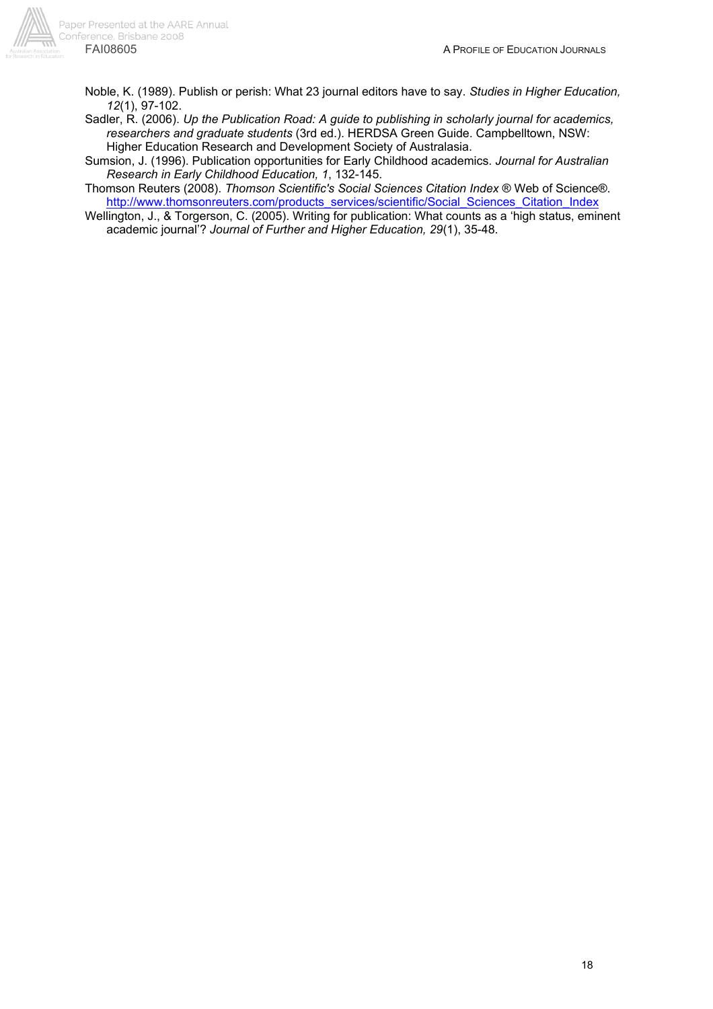

- Noble, K. (1989). Publish or perish: What 23 journal editors have to say. *Studies in Higher Education, 12*(1), 97-102.
- Sadler, R. (2006). *Up the Publication Road: A guide to publishing in scholarly journal for academics, researchers and graduate students* (3rd ed.). HERDSA Green Guide. Campbelltown, NSW: Higher Education Research and Development Society of Australasia.

Sumsion, J. (1996). Publication opportunities for Early Childhood academics. *Journal for Australian Research in Early Childhood Education, 1*, 132-145.

Thomson Reuters (2008). *Thomson Scientific's Social Sciences Citation Index* ® Web of Science®. http://www.thomsonreuters.com/products\_services/scientific/Social\_Sciences\_Citation\_Index

Wellington, J., & Torgerson, C. (2005). Writing for publication: What counts as a 'high status, eminent academic journal'? *Journal of Further and Higher Education, 29*(1), 35-48.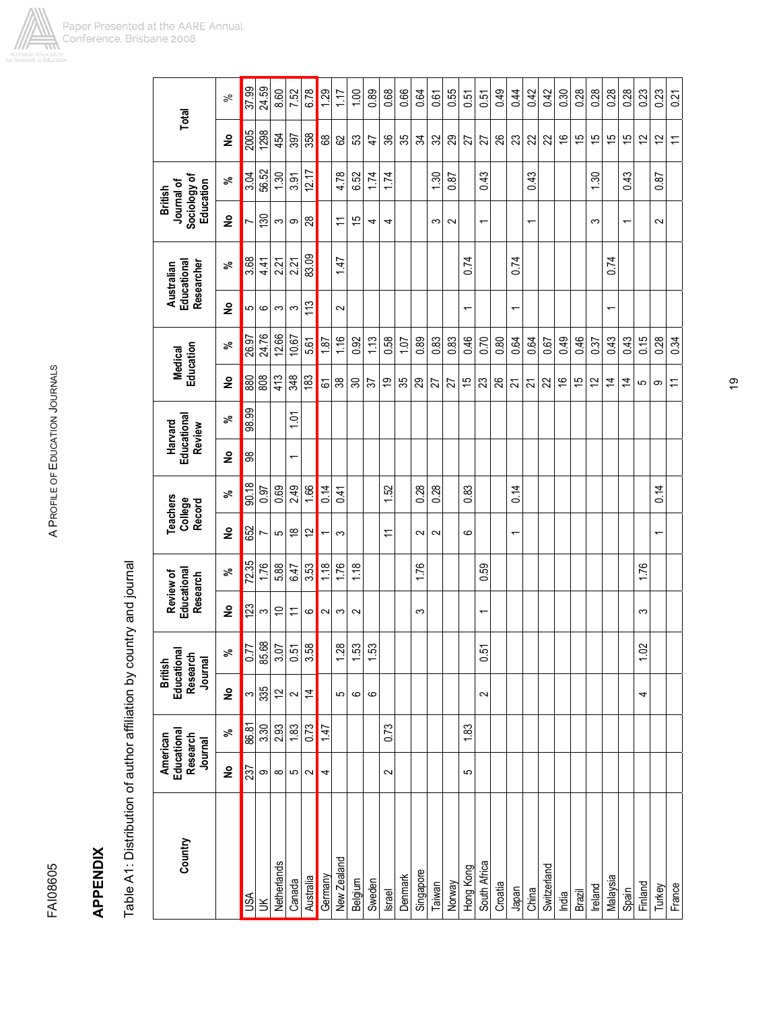

**APPENDIX** 

**APPENDIX** 

| Country      | Educational<br>American<br>Research<br>Journal |       | Educationa<br>Research<br>Journal<br><b>British</b> |                      | Educational<br>Review of<br>Research |       | <b>Teachers</b><br>College<br>Record |       | Educational<br>Harvard<br>Review |       | Education<br><b>Medical</b> |                 |                          | Educational<br>Researcher<br>Australian | Sociology of<br>Journal of<br>Education | <b>British</b> | Total          |       |
|--------------|------------------------------------------------|-------|-----------------------------------------------------|----------------------|--------------------------------------|-------|--------------------------------------|-------|----------------------------------|-------|-----------------------------|-----------------|--------------------------|-----------------------------------------|-----------------------------------------|----------------|----------------|-------|
|              | ş                                              | వి    | ş                                                   | వి                   | ş                                    | వి    | ş                                    | వి    | $\frac{1}{2}$                    | వి    | ş                           | వి              | $\frac{1}{2}$            | వి                                      | $\tilde{\mathbf{z}}$                    | వి             | $\frac{1}{2}$  | వ్    |
|              | <b>237</b>                                     | 86.81 | S                                                   | 0.77                 | 123                                  | 72.35 | 652                                  | 90.18 | 88                               | 98.99 | 880                         | 26.97           | اما                      | 3.68                                    |                                         | 3.04           | 2005           | 37.99 |
|              | တ                                              | 3.30  | 335                                                 |                      | S                                    | 1.76  | Ľ                                    | 0.97  |                                  |       | 808                         | 24.76           | $\circ$                  | 4.41                                    | $\overline{130}$                        | 56.52          | 1298           | 24.59 |
| Netherlands  | $\infty$                                       | 2.93  | 57                                                  | $\frac{85.68}{3.07}$ | $\tilde{0}$                          | 5.88  | 5                                    | 0.69  |                                  |       | 413                         | 12.66           | S                        | 2.21                                    | S                                       | 1.30           | 454            | 8.60  |
|              | 5                                              | 1.83  | $\sim$                                              | 0.51                 | $\overline{1}$                       | 6.47  | $\frac{8}{1}$                        | 2.49  | $\overline{\phantom{0}}$         | 1.01  | 348                         | 10.67           | S                        | 2.21                                    | တ                                       | 3.91           | 397            | 7.52  |
| Australia    | $\sim$                                         | 0.73  | $\overline{4}$                                      | 3.58                 | ဖ                                    | 3.53  | $\overline{c}$                       | 1.66  |                                  |       | 183                         | 5.61            | 113                      | 83.09                                   | 28                                      | 12.17          | 358            | 6.78  |
| Germany      | 4                                              | 147   |                                                     |                      | $\sim$                               | 1.18  | $\overline{ }$                       | 0.14  |                                  |       | 5                           | 1.87            |                          |                                         |                                         |                | $68\,$         | 1.29  |
| New Zealand  |                                                |       | 5                                                   |                      | S                                    | 1.76  | S                                    | 0.41  |                                  |       | $38$                        | 1.16            | $\sim$                   | 1.47                                    | $\overline{1}$                          | 4.78           | 29             | 1.17  |
| Belgium      |                                                |       | $\circ$                                             | $\frac{18}{15}$      | $\sim$                               | 1.18  |                                      |       |                                  |       | $\boldsymbol{\mathcal{S}}$  | 0.92            |                          |                                         | 15                                      | 6.52           | S3             | 1,00  |
| Sweden       |                                                |       | ဖ                                                   |                      |                                      |       |                                      |       |                                  |       | 57                          | 113             |                          |                                         | 4                                       | 1.74           | $\ddot{+}$     | 0.89  |
|              | $\sim$                                         | 0.73  |                                                     |                      |                                      |       | $\overline{\mathcal{L}}$             | 1.52  |                                  |       | <u>ღ</u>                    | 0.58            |                          |                                         | 4                                       | 1.74           | 36             | 0.68  |
| Denmark      |                                                |       |                                                     |                      |                                      |       |                                      |       |                                  |       | 35                          | 10 <sub>1</sub> |                          |                                         |                                         |                | 35             | 0.66  |
| Singapore    |                                                |       |                                                     |                      | S                                    | 1.76  | $\sim$                               | 0.28  |                                  |       | 29                          | 0.89            |                          |                                         |                                         |                | 54             | 0.64  |
|              |                                                |       |                                                     |                      |                                      |       | $\sim$                               | 0.28  |                                  |       | 27                          | 0.83            |                          |                                         | က                                       | Sö.            | 32             | 0.61  |
|              |                                                |       |                                                     |                      |                                      |       |                                      |       |                                  |       | 27                          | 0.83            |                          |                                         | $\sim$                                  | 0.87           | 29             | 0.55  |
| Hong Kong    | 5                                              | 1.83  |                                                     |                      |                                      |       | ဖ                                    | 0.83  |                                  |       | $\frac{5}{3}$               | 0.46            | ↽                        | 0.74                                    |                                         |                | 27             | 0.51  |
| South Africa |                                                |       | $\sim$                                              | 0.51                 | $\overline{\phantom{0}}$             | 0.59  |                                      |       |                                  |       | 23                          | 0.70            |                          |                                         |                                         | 0.43           | 27             | 0.51  |
|              |                                                |       |                                                     |                      |                                      |       |                                      |       |                                  |       | 26                          | 0.80            |                          |                                         |                                         |                | 26             | 0.49  |
|              |                                                |       |                                                     |                      |                                      |       | $\overline{ }$                       | 0.14  |                                  |       | 24                          | 0.64            | $\overline{ }$           | 0.74                                    |                                         |                | 23             | 0.44  |
|              |                                                |       |                                                     |                      |                                      |       |                                      |       |                                  |       | 21                          | 0.64            |                          |                                         | $\overline{\phantom{0}}$                | 0.43           | 22             | 0.42  |
| Switzerland  |                                                |       |                                                     |                      |                                      |       |                                      |       |                                  |       | 22                          | 0.67            |                          |                                         |                                         |                | 22             | 0.42  |
|              |                                                |       |                                                     |                      |                                      |       |                                      |       |                                  |       | $\frac{6}{5}$               | 0.49            |                          |                                         |                                         |                | $\frac{6}{5}$  | 0.30  |
|              |                                                |       |                                                     |                      |                                      |       |                                      |       |                                  |       | 15                          | 0.46            |                          |                                         |                                         |                | 15             | 0.28  |
|              |                                                |       |                                                     |                      |                                      |       |                                      |       |                                  |       | $\overline{c}$              | 0.37            |                          |                                         | S                                       | 1.30           | 15             | 0.28  |
| Malaysia     |                                                |       |                                                     |                      |                                      |       |                                      |       |                                  |       | $\overline{4}$              | 0.43            | $\overline{\phantom{0}}$ | 0.74                                    |                                         |                | $\frac{5}{2}$  | 0.28  |
|              |                                                |       |                                                     |                      |                                      |       |                                      |       |                                  |       | $\overline{4}$              | 0.43            |                          |                                         | ۳                                       | 0.43           | 15             | 0.28  |
|              |                                                |       | 4                                                   | 1.02                 | S                                    | 1.76  |                                      |       |                                  |       | 5                           | 0.15            |                          |                                         |                                         |                | $\tilde{c}$    | 0.23  |
|              |                                                |       |                                                     |                      |                                      |       | $\overline{\phantom{0}}$             | 0.14  |                                  |       | တ                           | 0.28            |                          |                                         | $\sim$                                  | 0.87           | $\frac{2}{3}$  | 0.23  |
|              |                                                |       |                                                     |                      |                                      |       |                                      |       |                                  |       | $\overline{1}$              | 0.34            |                          |                                         |                                         |                | $\overline{1}$ | 0.21  |

19